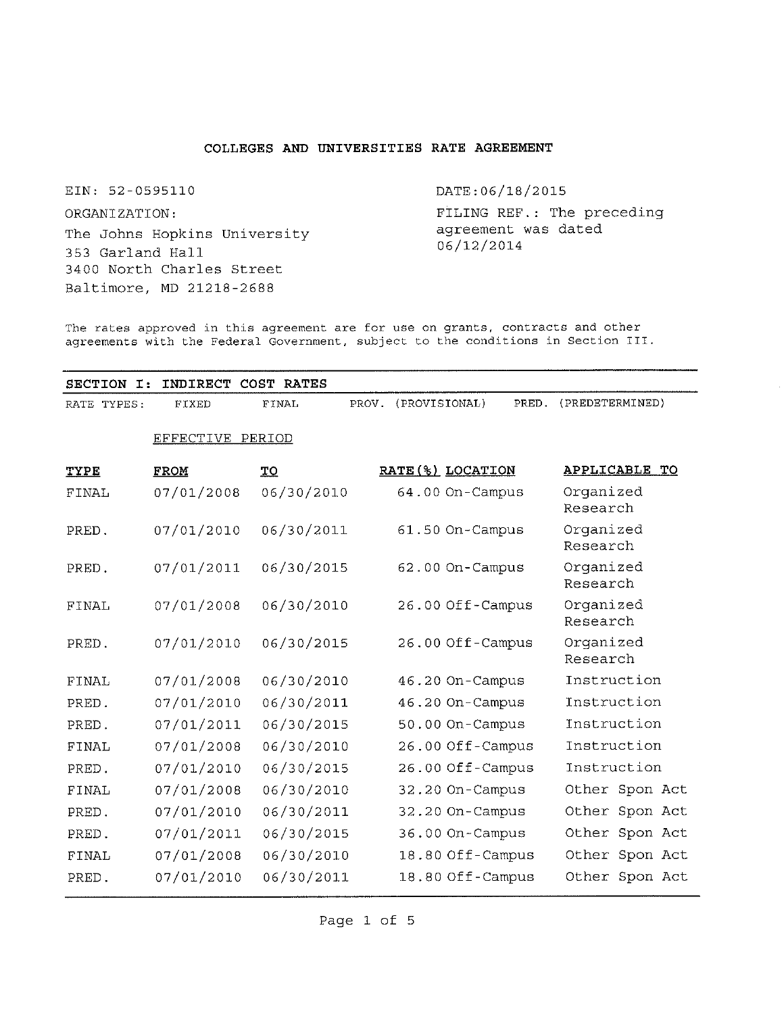## **COLLEGES AND UNIVERSITIES RATE AGREEMENT**

EIN: 52-0595110 ORGANIZATION: The Johns Hopkins University 353 Garland Hall 3400 North Charles Street Baltimore, MD 21218-2688

DATE:06/18/2015

FILING REF.: The preceding agreement was dated 06/12/2014

The rates approved in this agreement are for use on grants, contracts and other agreements with the Federal Government, subject to the conditions in Section III.

**SECTION I: INDIRECT COST RATES** RATE TYPES: FIXED FINAL PROV. (PROVISIONAL) PRED. (PREDETERMINED) EFFECTIVE PERIOD **TYPE FROM TO RATE(%) LOCATION APPLICABLE TO** FINAL 07/01/2008 06/30/2010 64.00 On-Campus Organized Research PRED. PRED. FINAL PRED. FINAL PRED. PRED. FINAL PRED. FINAL PRED. PRED. FINAL PRED. 07/01/2010 07/01/2011 07/01/2008 07/01/2010 07/01/2008 07/01/2010 07/01/2011 07/01/2008 07/01/2010 07/01/2008 07/01/2010 07/01/2011 07/01/2008 07/01/2010 06/30/2011 06/30/2015 06/30/2010 06/30/2015 06/30/2010 06/30/2011 06/30/2015 06/30/2010 06/30/2015 06/30/2010 06/30/2011 06/30/2015 06/30/2010 06/30/2011 61.50 On-Campus 62.00 On-Campus 26.00 Off-Campus 26.00 Off-Campus 46.20 On-Campus 46.20 On-Campus 50.00 On-Campus 26.00 Off-Campus 26.00 Off-Campus 32.20 On-Campus 32.20 On-Campus 36.00 On-Campus 18.80 Off-Campus 18.80 Off- Campus Organized Research Organized Research Organized Research Organized Research Instruction Instruction Instruction Instruction Instruction Other Spon Act Other Spon Act Other Spon Act Other Spon Act Other Spon Act

Page 1 of 5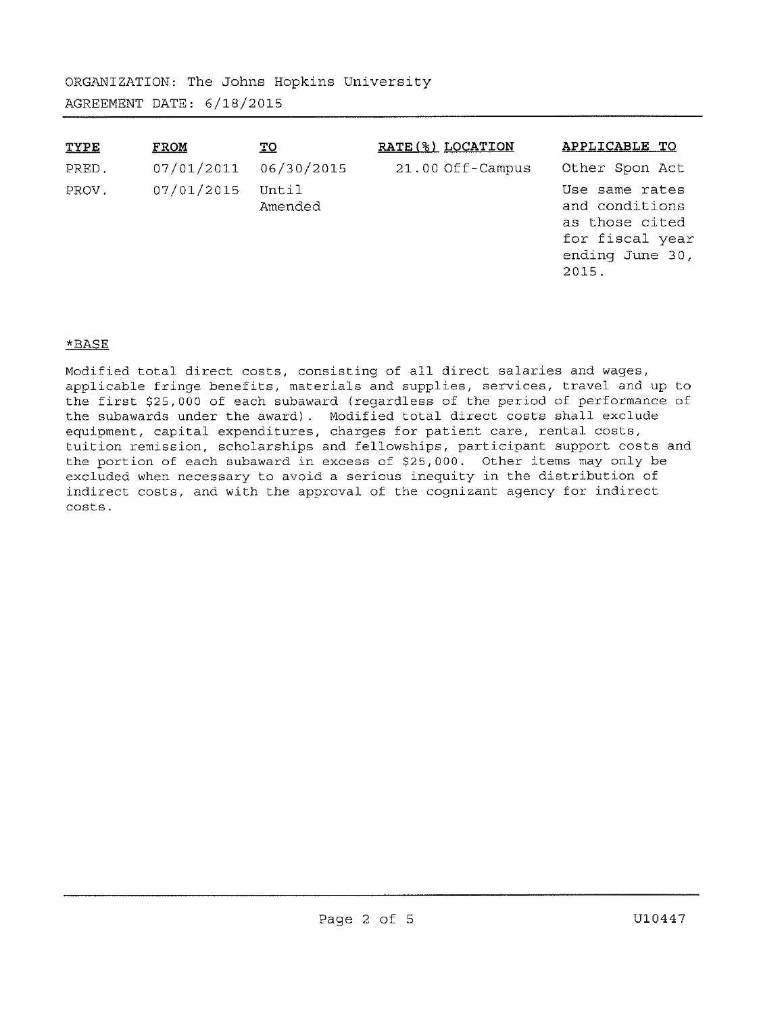| <b>TYPE</b> | <b>FROM</b> | <u>TQ</u>        | RATE(%) LOCATION | APPLICABLE TO                                                                                     |
|-------------|-------------|------------------|------------------|---------------------------------------------------------------------------------------------------|
| PRED.       | 07/01/2011  | 06/30/2015       | 21.00 Off-Campus | Other Spon Act                                                                                    |
| PROV.       | 07/01/2015  | Until<br>Amended |                  | Use same rates<br>and conditions<br>as those cited<br>for fiscal year<br>ending June 30,<br>2015. |

# \*BASE

Modified total direct costs, consisting of all direct salaries and wages, applicable fringe benefits, materials and supplies, services, travel and up to the first \$25, 000 of each subaward (regardless of the period of performance of the subawards under the award). Modified total direct costs shall exclude equipment, capital expenditures, charges for patient care, rental costs, tuition remission, scholarships and fellowships, participant support costs and the portion of each subaward in excess of \$25, 000. Other items may only be excluded when necessary to avoid a serious inequity in the distribution of indirect costs, and with the approval of the cognizant agency for indirect costs.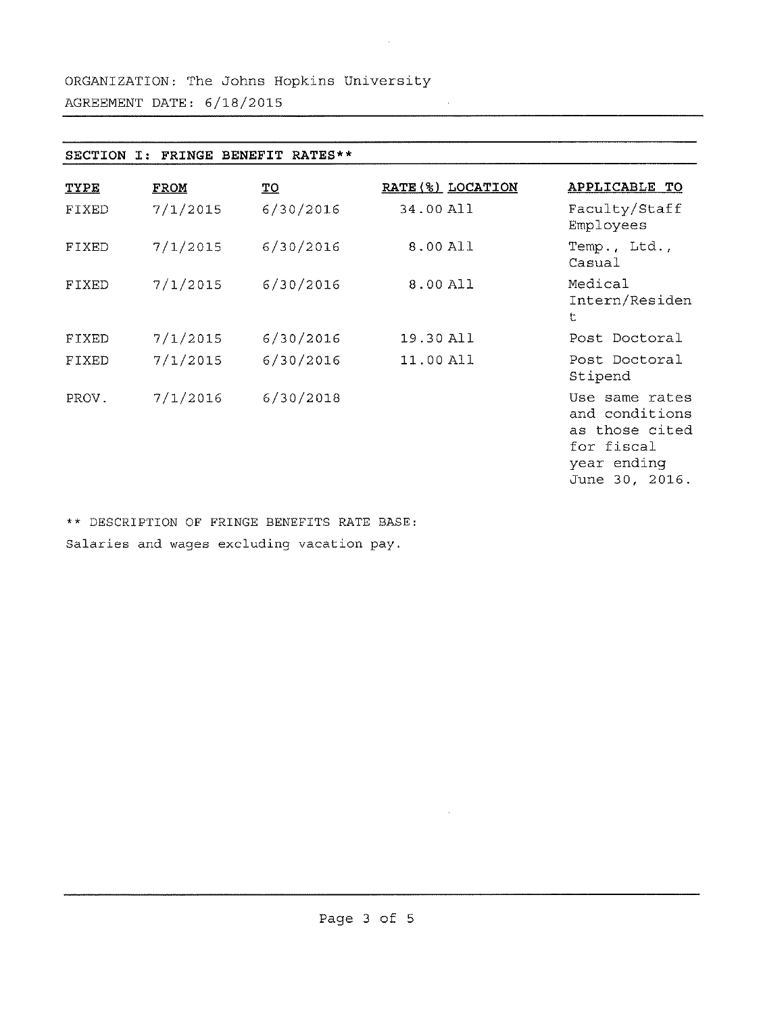| BENEFIT<br>SECTION<br><b>FRINGE</b><br>RATES**<br>т: |             |           |                   |                                                                                                   |  |  |  |
|------------------------------------------------------|-------------|-----------|-------------------|---------------------------------------------------------------------------------------------------|--|--|--|
| <b>TYPE</b>                                          | <b>FROM</b> | IΩ        | RATE (%) LOCATION | APPLICABLE TO                                                                                     |  |  |  |
| <b>FIXED</b>                                         | 7/1/2015    | 6/30/2016 | 34.00 All         | Faculty/Staff<br>Employees                                                                        |  |  |  |
| FIXED                                                | 7/1/2015    | 6/30/2016 | 8.00 All          | Temp., Ltd.,<br>Casual                                                                            |  |  |  |
| FIXED                                                | 7/1/2015    | 6/30/2016 | 8.00 All          | Medical<br>Intern/Residen<br>ŧ                                                                    |  |  |  |
| FIXED                                                | 7/1/2015    | 6/30/2016 | 19.30 All         | Post Doctoral                                                                                     |  |  |  |
| FIXED                                                | 7/1/2015    | 6/30/2016 | 11.00 All         | Post Doctoral<br>Stipend                                                                          |  |  |  |
| PROV.                                                | 7/1/2016    | 6/30/2018 |                   | Use same rates<br>and conditions<br>as those cited<br>for fiscal<br>year ending<br>June 30, 2016. |  |  |  |

 $\sim$ 

\*\* DESCRIPTION OF FRINGE BENEFITS RATE BASE: Salaries and wages excluding vacation pay.

 $\bar{z}$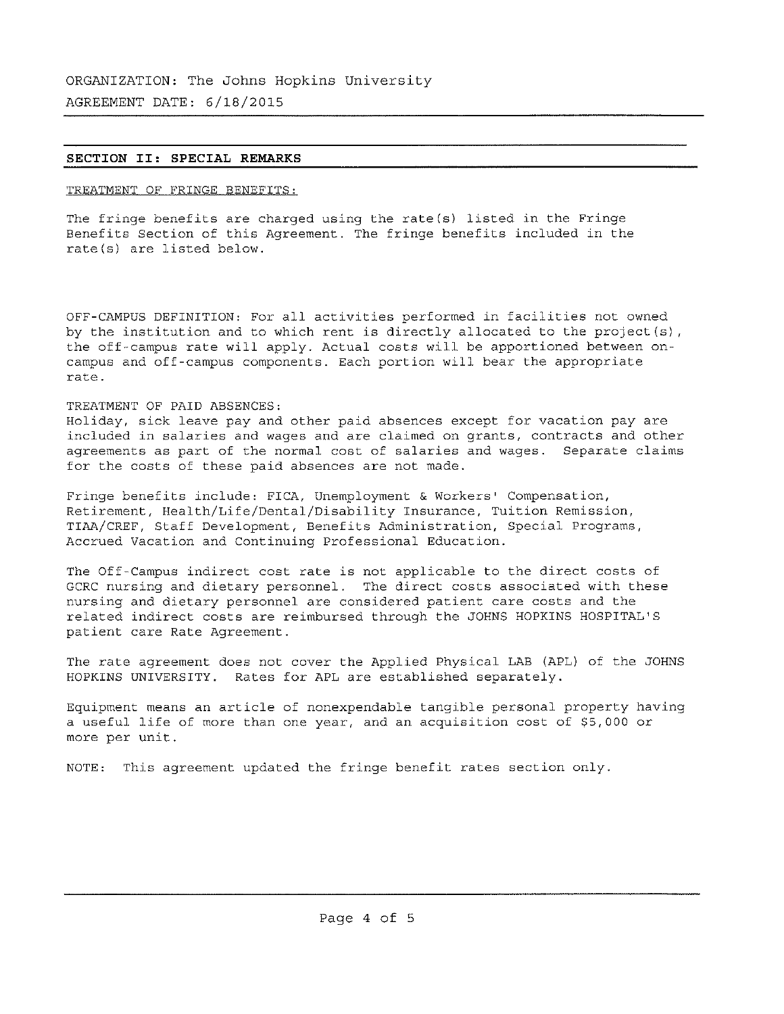### **SECTION II: SPECIAL REMARKS**

### TREATMENT OF FRINGE BENEFITS:

The fringe benefits are charged using the rate(s) listed in the Fringe Benefits Section of this Agreement. The fringe benefits included in the rate(s) are listed below.

OFF-CAMPUS DEFINITION: For all activities performed in facilities not owned by the institution and to which rent is directly allocated to the project(s), the off-campus rate will apply. Actual costs will be apportioned between oncampus and off-campus components. Each portion will bear the appropriate rate.

### TREATMENT OF PAID ABSENCES:

Holiday, sick leave pay and other paid absences except for vacation pay are included in salaries and wages and are claimed on grants, contracts and other agreements as part of the normal cost of salaries and wages. Separate claims for the costs of these paid absences are not made.

Fringe benefits include: FICA, Unemployment & Workers' Compensation, Retirement, Health/Life/Dental/Disability Insurance, Tuition Remission, TIAA/CREF, Staff Development, Benefits Administration, Special Programs, Accrued Vacation and Continuing Professional Education.

The Off-Campus indirect cost rate is not applicable to the direct costs of GCRC nursing and dietary personnel. The direct costs associated with these nursing and dietary personnel are considered patient care costs and the related indirect costs are reimbursed through the JOHNS HOPKINS HOSPITAL ' S patient care Rate Agreement.

The rate agreement does not cover the Applied Physical LAB (APL) of the JOHNS HOPKINS UNIVERSITY. Rates for APL are established separately.

Equipment means an article of nonexpendable tangible personal property having a useful life of more than one year, and an acquisition cost of \$5,000 or more per unit.

NOTE: This agreement updated the fringe benefit rates section only.